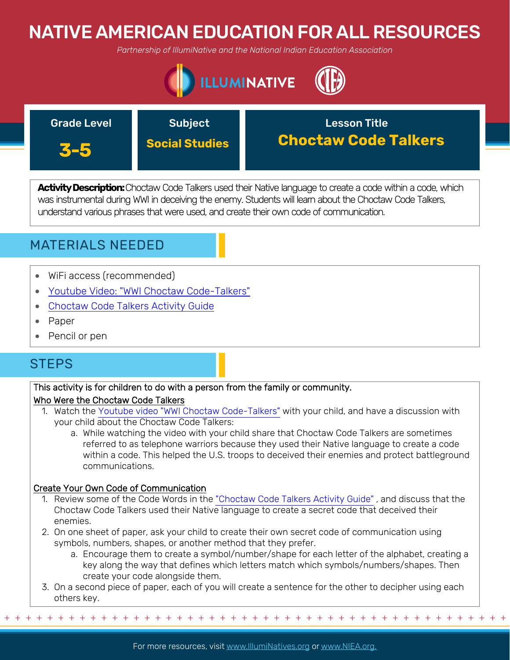# NATIVE AMERICAN EDUCATION FOR ALL RESOURCES

*Partnership of IllumiNative and the National Indian Education Association*





**Activity Description:**Choctaw Code Talkers used their Native language to create a code within a code, which was instrumental during WWI in deceiving the enemy. Students will learn about the Choctaw Code Talkers, understand various phrases that were used, and create their own code of communication.



- WiFi access (recommended)
- [Youtube Video: "WWI Choctaw Code-Talkers"](https://www.youtube.com/watch?v=sskGy3q5wpI)
- [Choctaw Code Talkers Activity Guide](https://nie.newsok.com/wp-content/uploads/NA-Heroes-Lesson-4.pdf)
- Paper
- Pencil or pen

## **STEPS**

### This activity is for children to do with a person from the family or community.

### Who Were the Choctaw Code Talkers

- 1. Watch the [Youtube video "WWI Choctaw Code-Talkers"](https://www.youtube.com/watch?v=sskGy3q5wpI) with your child, and have a discussion with your child about the Choctaw Code Talkers:
	- a. While watching the video with your child share that Choctaw Code Talkers are sometimes referred to as telephone warriors because they used their Native language to create a code within a code. This helped the U.S. troops to deceived their enemies and protect battleground communications.

### Create Your Own Code of Communication

+ + + + + + + + + + + + + + + + + + + + + + + + + + + + + + + + + + + + + + + + + + + + + + + +

- 1. [Review some of the Code Words in the "Choctaw Code Talkers Activity Guide" , and discuss that the](https://nie.newsok.com/wp-content/uploads/NA-Heroes-Lesson-4.pdf)  Choctaw Code Talkers used their Native language to create a secret code that deceived their enemies.
- 2. On one sheet of paper, ask your child to create their own secret code of communication using symbols, numbers, shapes, or another method that they prefer.
	- a. Encourage them to create a symbol/number/shape for each letter of the alphabet, creating a key along the way that defines which letters match which symbols/numbers/shapes. Then create your code alongside them.
- 3. On a second piece of paper, each of you will create a sentence for the other to decipher using each others key.

For more resources, visit www.lllumiNatives.org or www.NIEA.org.